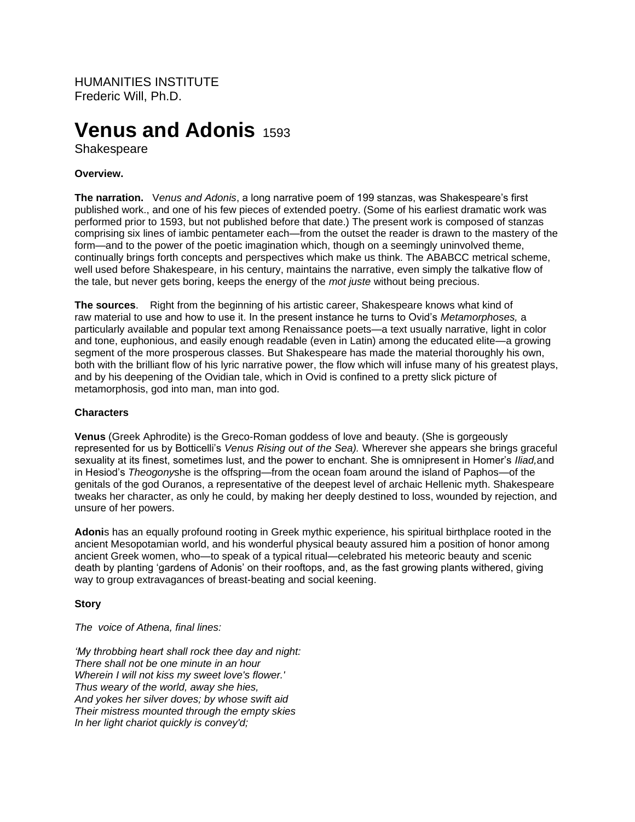HUMANITIES INSTITUTE Frederic Will, Ph.D.

# **Venus and Adonis** 1593

Shakespeare

## **Overview.**

**The narration.** V*enus and Adonis*, a long narrative poem of 199 stanzas, was Shakespeare's first published work., and one of his few pieces of extended poetry. (Some of his earliest dramatic work was performed prior to 1593, but not published before that date.) The present work is composed of stanzas comprising six lines of iambic pentameter each—from the outset the reader is drawn to the mastery of the form—and to the power of the poetic imagination which, though on a seemingly uninvolved theme, continually brings forth concepts and perspectives which make us think. The ABABCC metrical scheme, well used before Shakespeare, in his century, maintains the narrative, even simply the talkative flow of the tale, but never gets boring, keeps the energy of the *mot juste* without being precious.

**The sources**. Right from the beginning of his artistic career, Shakespeare knows what kind of raw material to use and how to use it. In the present instance he turns to Ovid's *Metamorphoses,* a particularly available and popular text among Renaissance poets—a text usually narrative, light in color and tone, euphonious, and easily enough readable (even in Latin) among the educated elite—a growing segment of the more prosperous classes. But Shakespeare has made the material thoroughly his own, both with the brilliant flow of his lyric narrative power, the flow which will infuse many of his greatest plays, and by his deepening of the Ovidian tale, which in Ovid is confined to a pretty slick picture of metamorphosis, god into man, man into god.

### **Characters**

**Venus** (Greek Aphrodite) is the Greco-Roman goddess of love and beauty. (She is gorgeously represented for us by Botticelli's *Venus Rising out of the Sea).* Wherever she appears she brings graceful sexuality at its finest, sometimes lust, and the power to enchant. She is omnipresent in Homer's *Iliad,*and in Hesiod's *Theogony*she is the offspring—from the ocean foam around the island of Paphos—of the genitals of the god Ouranos, a representative of the deepest level of archaic Hellenic myth. Shakespeare tweaks her character, as only he could, by making her deeply destined to loss, wounded by rejection, and unsure of her powers.

**Adoni**s has an equally profound rooting in Greek mythic experience, his spiritual birthplace rooted in the ancient Mesopotamian world, and his wonderful physical beauty assured him a position of honor among ancient Greek women, who—to speak of a typical ritual—celebrated his meteoric beauty and scenic death by planting 'gardens of Adonis' on their rooftops, and, as the fast growing plants withered, giving way to group extravagances of breast-beating and social keening.

## **Story**

*The voice of Athena, final lines:*

*'My throbbing heart shall rock thee day and night: There shall not be one minute in an hour Wherein I will not kiss my sweet love's flower.' Thus weary of the world, away she hies, And yokes her silver doves; by whose swift aid Their mistress mounted through the empty skies In her light chariot quickly is convey'd;*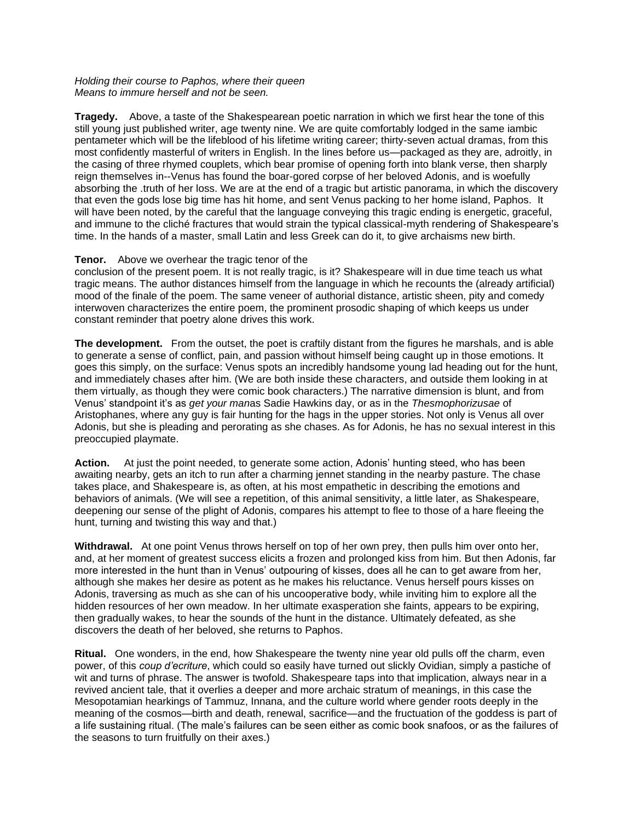#### *Holding their course to Paphos, where their queen Means to immure herself and not be seen.*

**Tragedy.** Above, a taste of the Shakespearean poetic narration in which we first hear the tone of this still young just published writer, age twenty nine. We are quite comfortably lodged in the same jambic pentameter which will be the lifeblood of his lifetime writing career; thirty-seven actual dramas, from this most confidently masterful of writers in English. In the lines before us—packaged as they are, adroitly, in the casing of three rhymed couplets, which bear promise of opening forth into blank verse, then sharply reign themselves in--Venus has found the boar-gored corpse of her beloved Adonis, and is woefully absorbing the .truth of her loss. We are at the end of a tragic but artistic panorama, in which the discovery that even the gods lose big time has hit home, and sent Venus packing to her home island, Paphos. It will have been noted, by the careful that the language conveying this tragic ending is energetic, graceful, and immune to the cliché fractures that would strain the typical classical-myth rendering of Shakespeare's time. In the hands of a master, small Latin and less Greek can do it, to give archaisms new birth.

## **Tenor.** Above we overhear the tragic tenor of the

conclusion of the present poem. It is not really tragic, is it? Shakespeare will in due time teach us what tragic means. The author distances himself from the language in which he recounts the (already artificial) mood of the finale of the poem. The same veneer of authorial distance, artistic sheen, pity and comedy interwoven characterizes the entire poem, the prominent prosodic shaping of which keeps us under constant reminder that poetry alone drives this work.

**The development.** From the outset, the poet is craftily distant from the figures he marshals, and is able to generate a sense of conflict, pain, and passion without himself being caught up in those emotions. It goes this simply, on the surface: Venus spots an incredibly handsome young lad heading out for the hunt, and immediately chases after him. (We are both inside these characters, and outside them looking in at them virtually, as though they were comic book characters.) The narrative dimension is blunt, and from Venus' standpoint it's as *get your man*as Sadie Hawkins day, or as in the *Thesmophorizusae* of Aristophanes, where any guy is fair hunting for the hags in the upper stories. Not only is Venus all over Adonis, but she is pleading and perorating as she chases. As for Adonis, he has no sexual interest in this preoccupied playmate.

**Action.** At just the point needed, to generate some action, Adonis' hunting steed, who has been awaiting nearby, gets an itch to run after a charming jennet standing in the nearby pasture. The chase takes place, and Shakespeare is, as often, at his most empathetic in describing the emotions and behaviors of animals. (We will see a repetition, of this animal sensitivity, a little later, as Shakespeare, deepening our sense of the plight of Adonis, compares his attempt to flee to those of a hare fleeing the hunt, turning and twisting this way and that.)

**Withdrawal.** At one point Venus throws herself on top of her own prey, then pulls him over onto her, and, at her moment of greatest success elicits a frozen and prolonged kiss from him. But then Adonis, far more interested in the hunt than in Venus' outpouring of kisses, does all he can to get aware from her, although she makes her desire as potent as he makes his reluctance. Venus herself pours kisses on Adonis, traversing as much as she can of his uncooperative body, while inviting him to explore all the hidden resources of her own meadow. In her ultimate exasperation she faints, appears to be expiring, then gradually wakes, to hear the sounds of the hunt in the distance. Ultimately defeated, as she discovers the death of her beloved, she returns to Paphos.

**Ritual.** One wonders, in the end, how Shakespeare the twenty nine year old pulls off the charm, even power, of this *coup d'ecriture*, which could so easily have turned out slickly Ovidian, simply a pastiche of wit and turns of phrase. The answer is twofold. Shakespeare taps into that implication, always near in a revived ancient tale, that it overlies a deeper and more archaic stratum of meanings, in this case the Mesopotamian hearkings of Tammuz, Innana, and the culture world where gender roots deeply in the meaning of the cosmos—birth and death, renewal, sacrifice—and the fructuation of the goddess is part of a life sustaining ritual. (The male's failures can be seen either as comic book snafoos, or as the failures of the seasons to turn fruitfully on their axes.)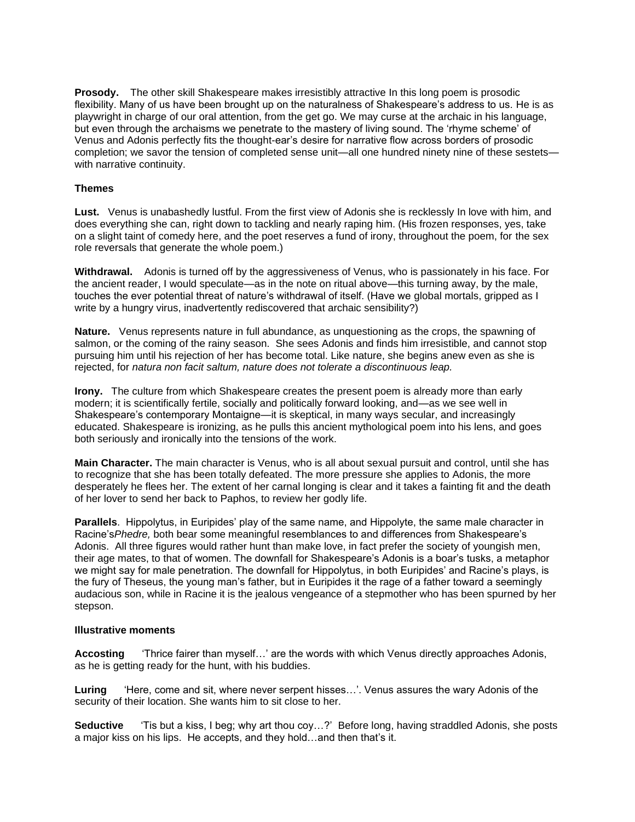**Prosody.** The other skill Shakespeare makes irresistibly attractive In this long poem is prosodic flexibility. Many of us have been brought up on the naturalness of Shakespeare's address to us. He is as playwright in charge of our oral attention, from the get go. We may curse at the archaic in his language, but even through the archaisms we penetrate to the mastery of living sound. The 'rhyme scheme' of Venus and Adonis perfectly fits the thought-ear's desire for narrative flow across borders of prosodic completion; we savor the tension of completed sense unit—all one hundred ninety nine of these sestets with narrative continuity.

# **Themes**

Lust. Venus is unabashedly lustful. From the first view of Adonis she is recklessly In love with him, and does everything she can, right down to tackling and nearly raping him. (His frozen responses, yes, take on a slight taint of comedy here, and the poet reserves a fund of irony, throughout the poem, for the sex role reversals that generate the whole poem.)

**Withdrawal.** Adonis is turned off by the aggressiveness of Venus, who is passionately in his face. For the ancient reader, I would speculate—as in the note on ritual above—this turning away, by the male, touches the ever potential threat of nature's withdrawal of itself. (Have we global mortals, gripped as I write by a hungry virus, inadvertently rediscovered that archaic sensibility?)

**Nature.** Venus represents nature in full abundance, as unquestioning as the crops, the spawning of salmon, or the coming of the rainy season. She sees Adonis and finds him irresistible, and cannot stop pursuing him until his rejection of her has become total. Like nature, she begins anew even as she is rejected, for *natura non facit saltum, nature does not tolerate a discontinuous leap.*

**Irony.** The culture from which Shakespeare creates the present poem is already more than early modern; it is scientifically fertile, socially and politically forward looking, and—as we see well in Shakespeare's contemporary Montaigne—it is skeptical, in many ways secular, and increasingly educated. Shakespeare is ironizing, as he pulls this ancient mythological poem into his lens, and goes both seriously and ironically into the tensions of the work.

**Main Character.** The main character is Venus, who is all about sexual pursuit and control, until she has to recognize that she has been totally defeated. The more pressure she applies to Adonis, the more desperately he flees her. The extent of her carnal longing is clear and it takes a fainting fit and the death of her lover to send her back to Paphos, to review her godly life.

**Parallels**. Hippolytus, in Euripides' play of the same name, and Hippolyte, the same male character in Racine's*Phedre,* both bear some meaningful resemblances to and differences from Shakespeare's Adonis. All three figures would rather hunt than make love, in fact prefer the society of youngish men, their age mates, to that of women. The downfall for Shakespeare's Adonis is a boar's tusks, a metaphor we might say for male penetration. The downfall for Hippolytus, in both Euripides' and Racine's plays, is the fury of Theseus, the young man's father, but in Euripides it the rage of a father toward a seemingly audacious son, while in Racine it is the jealous vengeance of a stepmother who has been spurned by her stepson.

## **Illustrative moments**

**Accosting** 'Thrice fairer than myself…' are the words with which Venus directly approaches Adonis, as he is getting ready for the hunt, with his buddies.

Luring 'Here, come and sit, where never serpent hisses...'. Venus assures the wary Adonis of the security of their location. She wants him to sit close to her.

**Seductive** 'Tis but a kiss, I beg; why art thou coy…?' Before long, having straddled Adonis, she posts a major kiss on his lips. He accepts, and they hold…and then that's it.